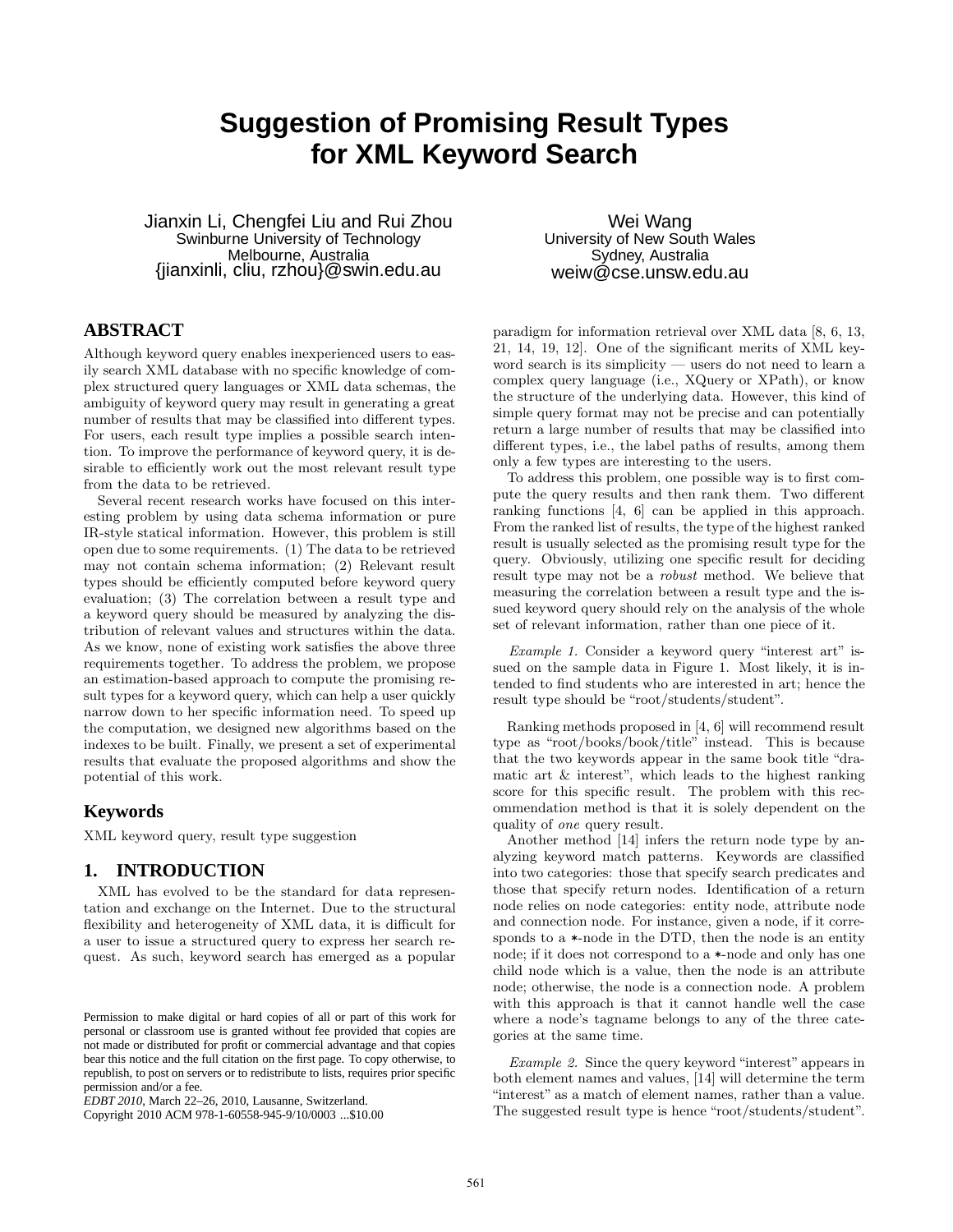# **Suggestion of Promising Result Types for XML Keyword Search**

Jianxin Li, Chengfei Liu and Rui Zhou Swinburne University of Technology Melbourne, Australia {jianxinli, cliu, rzhou}@swin.edu.au

# **ABSTRACT**

Although keyword query enables inexperienced users to easily search XML database with no specific knowledge of complex structured query languages or XML data schemas, the ambiguity of keyword query may result in generating a great number of results that may be classified into different types. For users, each result type implies a possible search intention. To improve the performance of keyword query, it is desirable to efficiently work out the most relevant result type from the data to be retrieved.

Several recent research works have focused on this interesting problem by using data schema information or pure IR-style statical information. However, this problem is still open due to some requirements. (1) The data to be retrieved may not contain schema information; (2) Relevant result types should be efficiently computed before keyword query evaluation; (3) The correlation between a result type and a keyword query should be measured by analyzing the distribution of relevant values and structures within the data. As we know, none of existing work satisfies the above three requirements together. To address the problem, we propose an estimation-based approach to compute the promising result types for a keyword query, which can help a user quickly narrow down to her specific information need. To speed up the computation, we designed new algorithms based on the indexes to be built. Finally, we present a set of experimental results that evaluate the proposed algorithms and show the potential of this work.

# **Keywords**

XML keyword query, result type suggestion

# **1. INTRODUCTION**

XML has evolved to be the standard for data representation and exchange on the Internet. Due to the structural flexibility and heterogeneity of XML data, it is difficult for a user to issue a structured query to express her search request. As such, keyword search has emerged as a popular

Copyright 2010 ACM 978-1-60558-945-9/10/0003 ...\$10.00

Wei Wang University of New South Wales Sydney, Australia weiw@cse.unsw.edu.au

paradigm for information retrieval over XML data [8, 6, 13, 21, 14, 19, 12]. One of the significant merits of XML keyword search is its simplicity — users do not need to learn a complex query language (i.e., XQuery or XPath), or know the structure of the underlying data. However, this kind of simple query format may not be precise and can potentially return a large number of results that may be classified into different types, i.e., the label paths of results, among them only a few types are interesting to the users.

To address this problem, one possible way is to first compute the query results and then rank them. Two different ranking functions [4, 6] can be applied in this approach. From the ranked list of results, the type of the highest ranked result is usually selected as the promising result type for the query. Obviously, utilizing one specific result for deciding result type may not be a robust method. We believe that measuring the correlation between a result type and the issued keyword query should rely on the analysis of the whole set of relevant information, rather than one piece of it.

Example 1. Consider a keyword query "interest art" issued on the sample data in Figure 1. Most likely, it is intended to find students who are interested in art; hence the result type should be "root/students/student".

Ranking methods proposed in [4, 6] will recommend result type as "root/books/book/title" instead. This is because that the two keywords appear in the same book title "dramatic art & interest", which leads to the highest ranking score for this specific result. The problem with this recommendation method is that it is solely dependent on the quality of one query result.

Another method [14] infers the return node type by analyzing keyword match patterns. Keywords are classified into two categories: those that specify search predicates and those that specify return nodes. Identification of a return node relies on node categories: entity node, attribute node and connection node. For instance, given a node, if it corresponds to a  $*$ -node in the DTD, then the node is an entity node; if it does not correspond to a \*-node and only has one child node which is a value, then the node is an attribute node; otherwise, the node is a connection node. A problem with this approach is that it cannot handle well the case where a node's tagname belongs to any of the three categories at the same time.

Example 2. Since the query keyword "interest" appears in both element names and values, [14] will determine the term "interest" as a match of element names, rather than a value. The suggested result type is hence "root/students/student".

Permission to make digital or hard copies of all or part of this work for personal or classroom use is granted without fee provided that copies are not made or distributed for profit or commercial advantage and that copies bear this notice and the full citation on the first page. To copy otherwise, to republish, to post on servers or to redistribute to lists, requires prior specific permission and/or a fee.

*EDBT 2010*, March 22–26, 2010, Lausanne, Switzerland.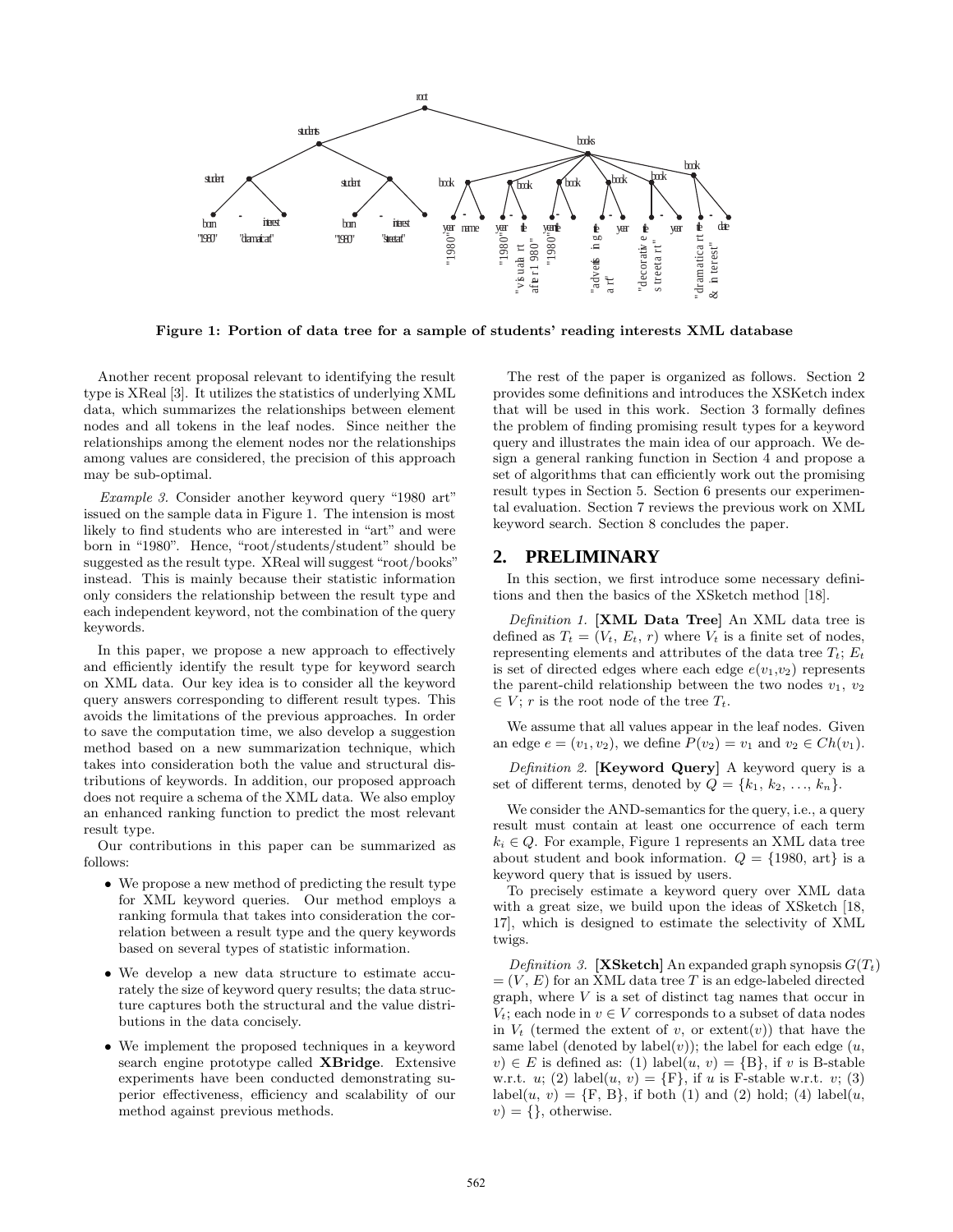

Figure 1: Portion of data tree for a sample of students' reading interests XML database

Another recent proposal relevant to identifying the result type is XReal [3]. It utilizes the statistics of underlying XML data, which summarizes the relationships between element nodes and all tokens in the leaf nodes. Since neither the relationships among the element nodes nor the relationships among values are considered, the precision of this approach may be sub-optimal.

Example 3. Consider another keyword query "1980 art" issued on the sample data in Figure 1. The intension is most likely to find students who are interested in "art" and were born in "1980". Hence, "root/students/student" should be suggested as the result type. XReal will suggest "root/books" instead. This is mainly because their statistic information only considers the relationship between the result type and each independent keyword, not the combination of the query keywords.

In this paper, we propose a new approach to effectively and efficiently identify the result type for keyword search on XML data. Our key idea is to consider all the keyword query answers corresponding to different result types. This avoids the limitations of the previous approaches. In order to save the computation time, we also develop a suggestion method based on a new summarization technique, which takes into consideration both the value and structural distributions of keywords. In addition, our proposed approach does not require a schema of the XML data. We also employ an enhanced ranking function to predict the most relevant result type.

Our contributions in this paper can be summarized as follows:

- We propose a new method of predicting the result type for XML keyword queries. Our method employs a ranking formula that takes into consideration the correlation between a result type and the query keywords based on several types of statistic information.
- We develop a new data structure to estimate accurately the size of keyword query results; the data structure captures both the structural and the value distributions in the data concisely.
- We implement the proposed techniques in a keyword search engine prototype called XBridge. Extensive experiments have been conducted demonstrating superior effectiveness, efficiency and scalability of our method against previous methods.

The rest of the paper is organized as follows. Section 2 provides some definitions and introduces the XSKetch index that will be used in this work. Section 3 formally defines the problem of finding promising result types for a keyword query and illustrates the main idea of our approach. We design a general ranking function in Section 4 and propose a set of algorithms that can efficiently work out the promising result types in Section 5. Section 6 presents our experimental evaluation. Section 7 reviews the previous work on XML keyword search. Section 8 concludes the paper.

#### **2. PRELIMINARY**

In this section, we first introduce some necessary definitions and then the basics of the XSketch method [18].

Definition 1. [XML Data Tree] An XML data tree is defined as  $T_t = (V_t, E_t, r)$  where  $V_t$  is a finite set of nodes, representing elements and attributes of the data tree  $T_t$ ;  $E_t$ is set of directed edges where each edge  $e(v_1,v_2)$  represents the parent-child relationship between the two nodes  $v_1, v_2$  $\in V$ ; r is the root node of the tree  $T_t$ .

We assume that all values appear in the leaf nodes. Given an edge  $e = (v_1, v_2)$ , we define  $P(v_2) = v_1$  and  $v_2 \in Ch(v_1)$ .

Definition 2. [Keyword Query] A keyword query is a set of different terms, denoted by  $Q = \{k_1, k_2, ..., k_n\}.$ 

We consider the AND-semantics for the query, i.e., a query result must contain at least one occurrence of each term  $k_i \in Q$ . For example, Figure 1 represents an XML data tree about student and book information.  $Q = \{1980, \text{ art}\}\$ is a keyword query that is issued by users.

To precisely estimate a keyword query over XML data with a great size, we build upon the ideas of XSketch [18, 17], which is designed to estimate the selectivity of XML twigs.

Definition 3. [XSketch] An expanded graph synopsis  $G(T_t)$  $=(V, E)$  for an XML data tree T is an edge-labeled directed graph, where  $V$  is a set of distinct tag names that occur in  $V_t$ ; each node in  $v \in V$  corresponds to a subset of data nodes in  $V_t$  (termed the extent of v, or extent(v)) that have the same label (denoted by label $(v)$ ); the label for each edge  $(u,$  $v \in E$  is defined as: (1) label $(u, v) = \{B\}$ , if v is B-stable w.r.t. u; (2) label $(u, v) = \{F\}$ , if u is F-stable w.r.t. v; (3) label(u, v) = {F, B}, if both (1) and (2) hold; (4) label(u,  $v$ ) = {}, otherwise.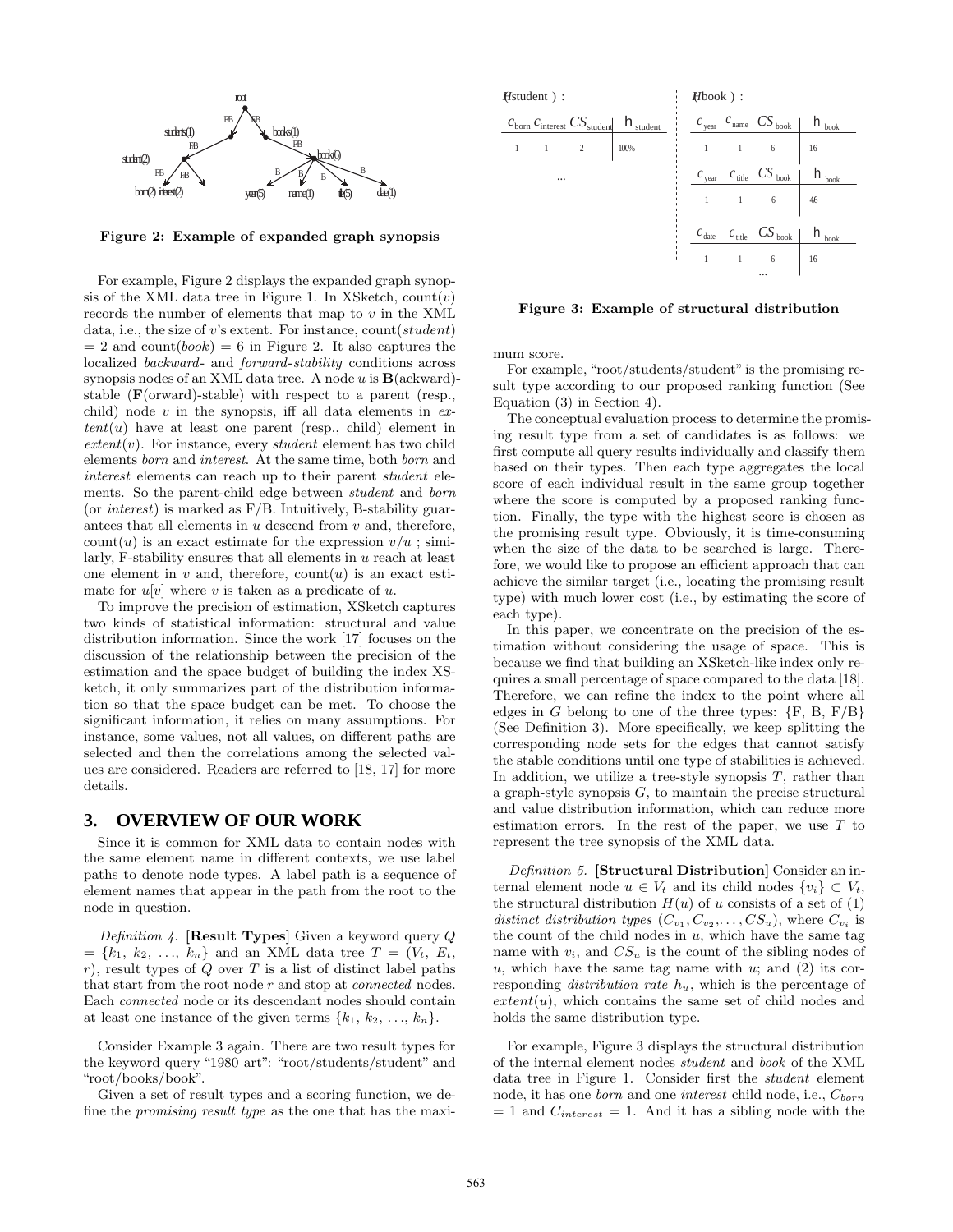

Figure 2: Example of expanded graph synopsis

For example, Figure 2 displays the expanded graph synopsis of the XML data tree in Figure 1. In XSketch,  $count(v)$ records the number of elements that map to  $v$  in the XML data, i.e., the size of  $v$ 's extent. For instance, count( $student$ )  $= 2$  and count(book)  $= 6$  in Figure 2. It also captures the localized backward- and forward-stability conditions across synopsis nodes of an XML data tree. A node  $u$  is  $\mathbf{B}(\text{ackward})$ stable (F(orward)-stable) with respect to a parent (resp., child) node  $v$  in the synopsis, iff all data elements in  $ex$  $tent(u)$  have at least one parent (resp., child) element in  $extent(v)$ . For instance, every *student* element has two child elements born and interest. At the same time, both born and interest elements can reach up to their parent student elements. So the parent-child edge between student and born (or *interest*) is marked as  $F/B$ . Intuitively, B-stability guarantees that all elements in  $u$  descend from  $v$  and, therefore,  $count(u)$  is an exact estimate for the expression  $v/u$ ; similarly, F-stability ensures that all elements in u reach at least one element in  $v$  and, therefore, count $(u)$  is an exact estimate for  $u[v]$  where v is taken as a predicate of u.

To improve the precision of estimation, XSketch captures two kinds of statistical information: structural and value distribution information. Since the work [17] focuses on the discussion of the relationship between the precision of the estimation and the space budget of building the index XSketch, it only summarizes part of the distribution information so that the space budget can be met. To choose the significant information, it relies on many assumptions. For instance, some values, not all values, on different paths are selected and then the correlations among the selected values are considered. Readers are referred to [18, 17] for more details.

# **3. OVERVIEW OF OUR WORK**

Since it is common for XML data to contain nodes with the same element name in different contexts, we use label paths to denote node types. A label path is a sequence of element names that appear in the path from the root to the node in question.

Definition 4. [Result Types] Given a keyword query  $Q$  $= \{k_1, k_2, ..., k_n\}$  and an XML data tree  $T = (V_t, E_t,$  $r$ ), result types of  $Q$  over  $T$  is a list of distinct label paths that start from the root node r and stop at connected nodes. Each connected node or its descendant nodes should contain at least one instance of the given terms  $\{k_1, k_2, \ldots, k_n\}$ .

Consider Example 3 again. There are two result types for the keyword query "1980 art": "root/students/student" and "root/books/book".

Given a set of result types and a scoring function, we define the promising result type as the one that has the maxi-



Figure 3: Example of structural distribution

mum score.

For example, "root/students/student" is the promising result type according to our proposed ranking function (See Equation (3) in Section 4).

The conceptual evaluation process to determine the promising result type from a set of candidates is as follows: we first compute all query results individually and classify them based on their types. Then each type aggregates the local score of each individual result in the same group together where the score is computed by a proposed ranking function. Finally, the type with the highest score is chosen as the promising result type. Obviously, it is time-consuming when the size of the data to be searched is large. Therefore, we would like to propose an efficient approach that can achieve the similar target (i.e., locating the promising result type) with much lower cost (i.e., by estimating the score of each type).

In this paper, we concentrate on the precision of the estimation without considering the usage of space. This is because we find that building an XSketch-like index only requires a small percentage of space compared to the data [18]. Therefore, we can refine the index to the point where all edges in G belong to one of the three types:  $\{F, B, F/B\}$ (See Definition 3). More specifically, we keep splitting the corresponding node sets for the edges that cannot satisfy the stable conditions until one type of stabilities is achieved. In addition, we utilize a tree-style synopsis  $T$ , rather than a graph-style synopsis  $G$ , to maintain the precise structural and value distribution information, which can reduce more estimation errors. In the rest of the paper, we use  $T$  to represent the tree synopsis of the XML data.

Definition 5. [Structural Distribution] Consider an internal element node  $u \in V_t$  and its child nodes  $\{v_i\} \subset V_t$ , the structural distribution  $H(u)$  of u consists of a set of (1) distinct distribution types  $(C_{v_1}, C_{v_2}, \ldots, CS_u)$ , where  $C_{v_i}$  is the count of the child nodes in  $u$ , which have the same tag name with  $v_i$ , and  $CS_u$  is the count of the sibling nodes of u, which have the same tag name with  $u$ ; and  $(2)$  its corresponding *distribution rate*  $h_u$ , which is the percentage of  $extent(u)$ , which contains the same set of child nodes and holds the same distribution type.

For example, Figure 3 displays the structural distribution of the internal element nodes student and book of the XML data tree in Figure 1. Consider first the student element node, it has one *born* and one *interest* child node, i.e.,  $C_{born}$  $= 1$  and  $C_{interest} = 1$ . And it has a sibling node with the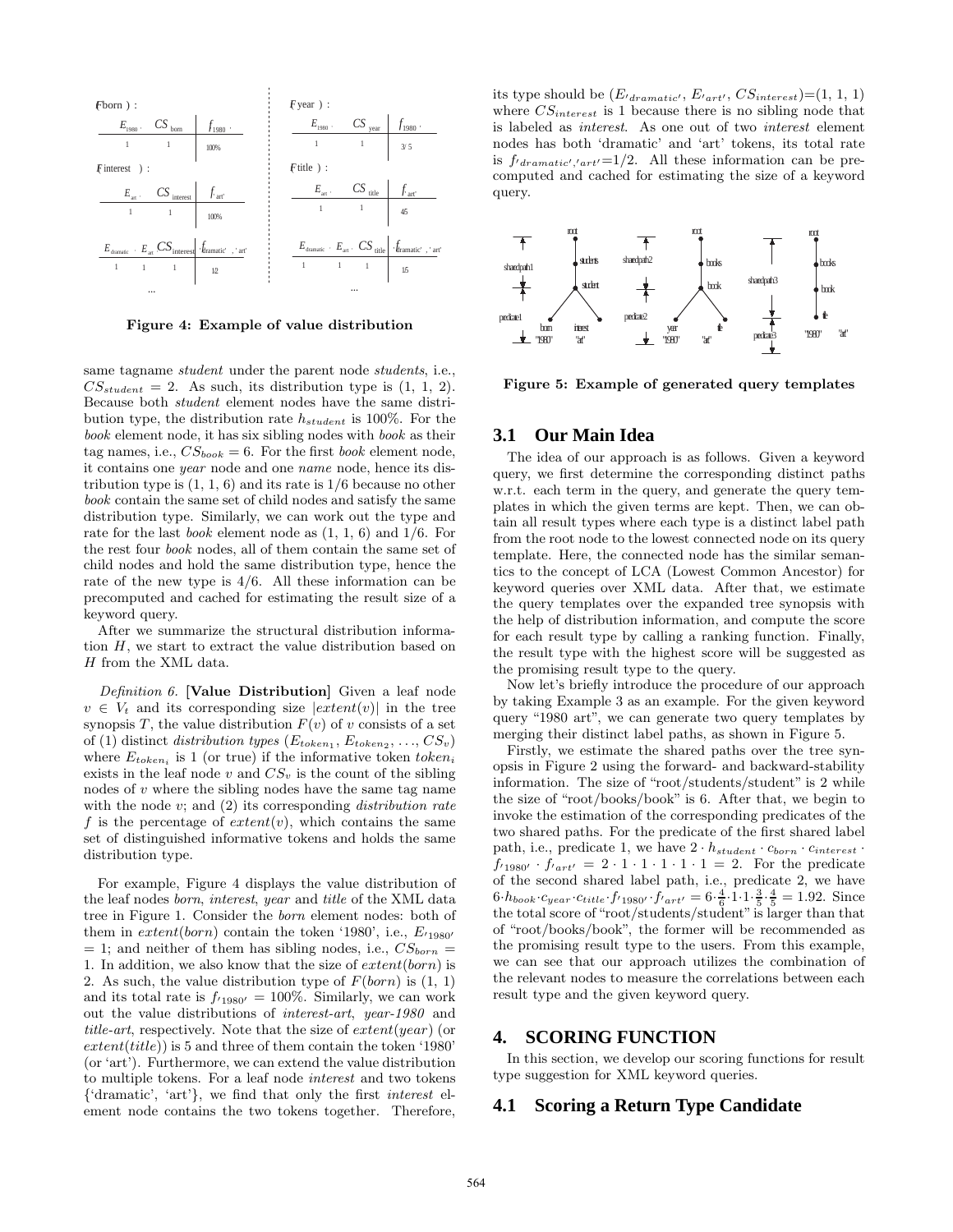

Figure 4: Example of value distribution

same tagname student under the parent node students, i.e.,  $CS_{student} = 2$ . As such, its distribution type is  $(1, 1, 2)$ . Because both student element nodes have the same distribution type, the distribution rate  $h_{student}$  is 100%. For the book element node, it has six sibling nodes with book as their tag names, i.e.,  $CS_{book} = 6$ . For the first *book* element node, it contains one year node and one name node, hence its distribution type is  $(1, 1, 6)$  and its rate is  $1/6$  because no other book contain the same set of child nodes and satisfy the same distribution type. Similarly, we can work out the type and rate for the last *book* element node as  $(1, 1, 6)$  and  $1/6$ . For the rest four book nodes, all of them contain the same set of child nodes and hold the same distribution type, hence the rate of the new type is 4/6. All these information can be precomputed and cached for estimating the result size of a keyword query.

After we summarize the structural distribution information H, we start to extract the value distribution based on H from the XML data.

Definition 6. [Value Distribution] Given a leaf node  $v \in V_t$  and its corresponding size  $|extent(v)|$  in the tree synopsis T, the value distribution  $F(v)$  of v consists of a set of (1) distinct *distribution types*  $(E_{token_1}, E_{token_2}, ..., CS_v)$ where  $E_{token_i}$  is 1 (or true) if the informative token token exists in the leaf node v and  $CS_v$  is the count of the sibling nodes of v where the sibling nodes have the same tag name with the node  $v$ ; and  $(2)$  its corresponding *distribution rate* f is the percentage of  $extent(v)$ , which contains the same set of distinguished informative tokens and holds the same distribution type.

For example, Figure 4 displays the value distribution of the leaf nodes born, interest, year and title of the XML data tree in Figure 1. Consider the born element nodes: both of them in  $extent(born)$  contain the token '1980', i.e.,  $E_{1980'}$  $= 1$ ; and neither of them has sibling nodes, i.e.,  $CS_{born} =$ 1. In addition, we also know that the size of  $extent(born)$  is 2. As such, the value distribution type of  $F(born)$  is  $(1, 1)$ and its total rate is  $f_{1980'} = 100\%$ . Similarly, we can work out the value distributions of interest-art, year-1980 and title-art, respectively. Note that the size of extent(year) (or  $extent(title)$ ) is 5 and three of them contain the token '1980' (or 'art'). Furthermore, we can extend the value distribution to multiple tokens. For a leaf node interest and two tokens {'dramatic', 'art'}, we find that only the first interest element node contains the two tokens together. Therefore,

its type should be  $(E<sub>dramatic'</sub>, E<sub>art'</sub>, CS<sub>interest</sub>)=(1, 1, 1)$ where  $CS_{interest}$  is 1 because there is no sibling node that is labeled as interest. As one out of two interest element nodes has both 'dramatic' and 'art' tokens, its total rate is  $f_{dramatic', 'art'} = 1/2$ . All these information can be precomputed and cached for estimating the size of a keyword query.



Figure 5: Example of generated query templates

# **3.1 Our Main Idea**

The idea of our approach is as follows. Given a keyword query, we first determine the corresponding distinct paths w.r.t. each term in the query, and generate the query templates in which the given terms are kept. Then, we can obtain all result types where each type is a distinct label path from the root node to the lowest connected node on its query template. Here, the connected node has the similar semantics to the concept of LCA (Lowest Common Ancestor) for keyword queries over XML data. After that, we estimate the query templates over the expanded tree synopsis with the help of distribution information, and compute the score for each result type by calling a ranking function. Finally, the result type with the highest score will be suggested as the promising result type to the query.

Now let's briefly introduce the procedure of our approach by taking Example 3 as an example. For the given keyword query "1980 art", we can generate two query templates by merging their distinct label paths, as shown in Figure 5.

Firstly, we estimate the shared paths over the tree synopsis in Figure 2 using the forward- and backward-stability information. The size of "root/students/student" is 2 while the size of "root/books/book" is 6. After that, we begin to invoke the estimation of the corresponding predicates of the two shared paths. For the predicate of the first shared label path, i.e., predicate 1, we have  $2 \cdot h_{student} \cdot c_{born} \cdot c_{interest} \cdot$  $f_{1980'} \cdot f_{197t'} = 2 \cdot 1 \cdot 1 \cdot 1 \cdot 1 \cdot 1 = 2$ . For the predicate of the second shared label path, i.e., predicate 2, we have  $6 \cdot h_{book} \cdot c_{year} \cdot c_{title} \cdot f_{1980'} \cdot f_{'art'} = 6 \cdot \frac{4}{6} \cdot 1 \cdot 1 \cdot \frac{3}{5} \cdot \frac{4}{5} = 1.92.$  Since the total score of "root/students/student"is larger than that of "root/books/book", the former will be recommended as the promising result type to the users. From this example, we can see that our approach utilizes the combination of the relevant nodes to measure the correlations between each result type and the given keyword query.

### **4. SCORING FUNCTION**

In this section, we develop our scoring functions for result type suggestion for XML keyword queries.

#### **4.1 Scoring a Return Type Candidate**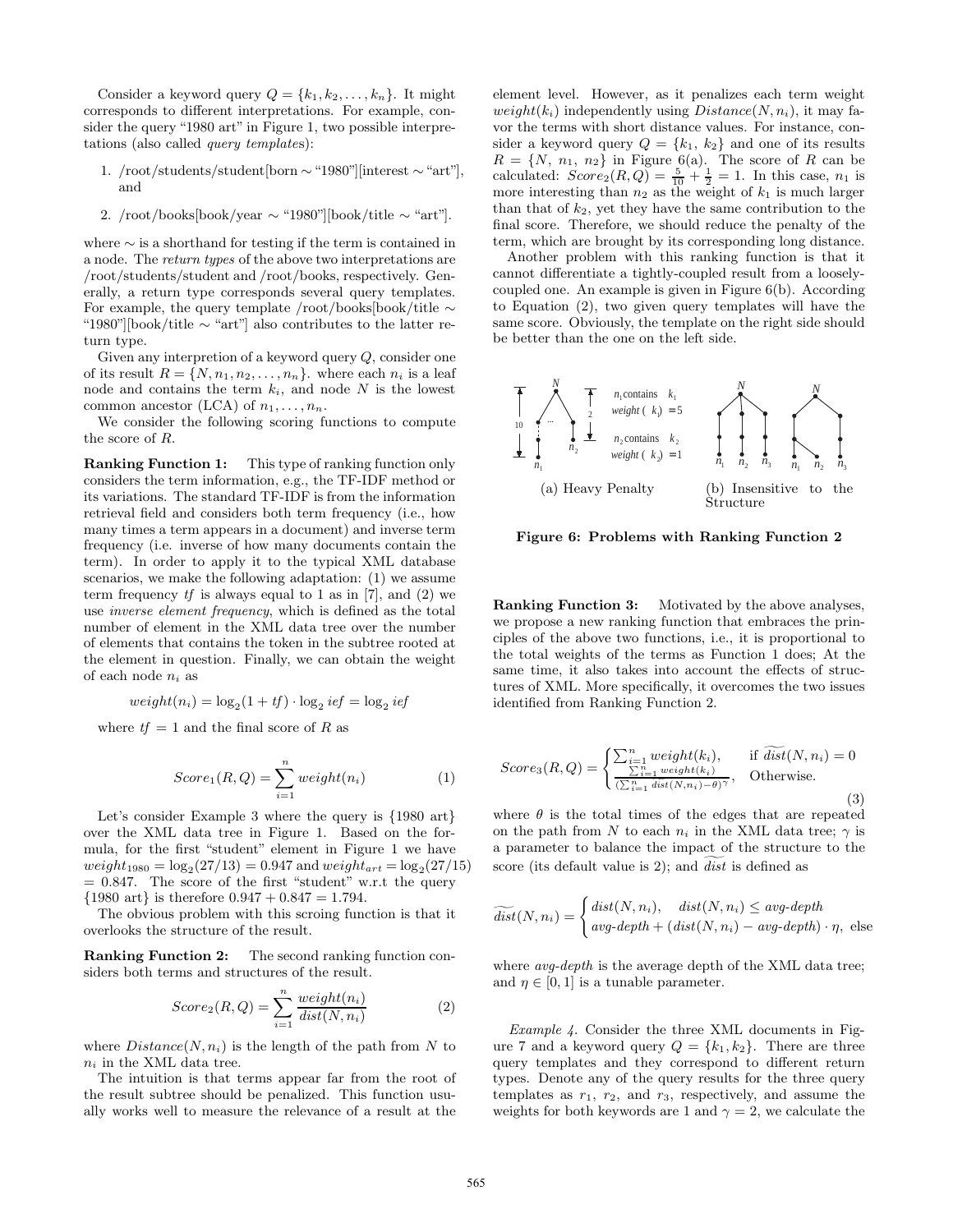Consider a keyword query  $Q = \{k_1, k_2, \ldots, k_n\}$ . It might corresponds to different interpretations. For example, consider the query "1980 art" in Figure 1, two possible interpretations (also called query templates):

- 1. /root/students/student[born ∼"1980"][interest ∼"art"], and
- 2. /root/books[book/year  $\sim$  "1980"][book/title  $\sim$  "art"].

where ∼ is a shorthand for testing if the term is contained in a node. The return types of the above two interpretations are /root/students/student and /root/books, respectively. Generally, a return type corresponds several query templates. For example, the query template /root/books[book/title ∼ "1980"][book/title ∼ "art"] also contributes to the latter return type.

Given any interpretion of a keyword query Q, consider one of its result  $R = \{N, n_1, n_2, \ldots, n_n\}$ , where each  $n_i$  is a leaf node and contains the term  $k_i$ , and node N is the lowest common ancestor (LCA) of  $n_1, \ldots, n_n$ .

We consider the following scoring functions to compute the score of R.

Ranking Function 1: This type of ranking function only considers the term information, e.g., the TF-IDF method or its variations. The standard TF-IDF is from the information retrieval field and considers both term frequency (i.e., how many times a term appears in a document) and inverse term frequency (i.e. inverse of how many documents contain the term). In order to apply it to the typical XML database scenarios, we make the following adaptation: (1) we assume term frequency  $tf$  is always equal to 1 as in [7], and (2) we use inverse element frequency, which is defined as the total number of element in the XML data tree over the number of elements that contains the token in the subtree rooted at the element in question. Finally, we can obtain the weight of each node  $n_i$  as

$$
weight(n_i) = \log_2(1 + tf) \cdot \log_2ief = \log_2ief
$$

where  $tf = 1$  and the final score of R as

$$
Score_1(R,Q) = \sum_{i=1}^{n} weight(n_i)
$$
 (1)

Let's consider Example 3 where the query is  $\{1980 \text{ art}\}$ over the XML data tree in Figure 1. Based on the formula, for the first "student" element in Figure 1 we have  $weight_{1980} = \log_2(27/13) = 0.947$  and  $weight_{art} = \log_2(27/15)$  $= 0.847$ . The score of the first "student" w.r.t the query  ${1980 \text{ art}}$  is therefore  $0.947 + 0.847 = 1.794$ .

The obvious problem with this scroing function is that it overlooks the structure of the result.

Ranking Function 2: The second ranking function considers both terms and structures of the result.

$$
Score_2(R,Q) = \sum_{i=1}^{n} \frac{weight(n_i)}{dist(N,n_i)}
$$
(2)

where  $Distance(N, n_i)$  is the length of the path from N to  $n_i$  in the XML data tree.

The intuition is that terms appear far from the root of the result subtree should be penalized. This function usually works well to measure the relevance of a result at the

element level. However, as it penalizes each term weight weight(k<sub>i</sub>) independently using  $Distance(N, n_i)$ , it may favor the terms with short distance values. For instance, consider a keyword query  $Q = \{k_1, k_2\}$  and one of its results  $R = \{N, n_1, n_2\}$  in Figure 6(a). The score of R can be calculated:  $Score_2(R,Q) = \frac{5}{10} + \frac{1}{2} = 1$ . In this case,  $n_1$  is more interesting than  $n_2$  as the weight of  $k_1$  is much larger than that of  $k_2$ , yet they have the same contribution to the final score. Therefore, we should reduce the penalty of the term, which are brought by its corresponding long distance.

Another problem with this ranking function is that it cannot differentiate a tightly-coupled result from a looselycoupled one. An example is given in Figure 6(b). According to Equation (2), two given query templates will have the same score. Obviously, the template on the right side should be better than the one on the left side.



Figure 6: Problems with Ranking Function 2

Ranking Function 3: Motivated by the above analyses, we propose a new ranking function that embraces the principles of the above two functions, i.e., it is proportional to the total weights of the terms as Function 1 does; At the same time, it also takes into account the effects of structures of XML. More specifically, it overcomes the two issues identified from Ranking Function 2.

$$
Score_3(R,Q) = \begin{cases} \sum_{\substack{i=1 \\ i \leq n}}^n weight(k_i), & \text{if } \widetilde{dist}(N, n_i) = 0\\ \frac{\sum_{i=1}^n weight(k_i)}{(\sum_{i=1}^n \widetilde{dist}(N, n_i) - \theta)^\gamma}, & \text{Otherwise.} \end{cases}
$$
(3)

where  $\theta$  is the total times of the edges that are repeated on the path from N to each  $n_i$  in the XML data tree;  $\gamma$  is a parameter to balance the impact of the structure to the score (its default value is 2); and  $dist$  is defined as

$$
\widetilde{dist}(N, n_i) = \begin{cases} dist(N, n_i), & dist(N, n_i) \le avg\text{-}depth \\ avg\text{-}depth + (dist(N, n_i) - avg\text{-}depth) \cdot \eta, \text{ else} \end{cases}
$$

where *avg-depth* is the average depth of the XML data tree; and  $\eta \in [0, 1]$  is a tunable parameter.

Example 4. Consider the three XML documents in Figure 7 and a keyword query  $Q = \{k_1, k_2\}$ . There are three query templates and they correspond to different return types. Denote any of the query results for the three query templates as  $r_1$ ,  $r_2$ , and  $r_3$ , respectively, and assume the weights for both keywords are 1 and  $\gamma = 2$ , we calculate the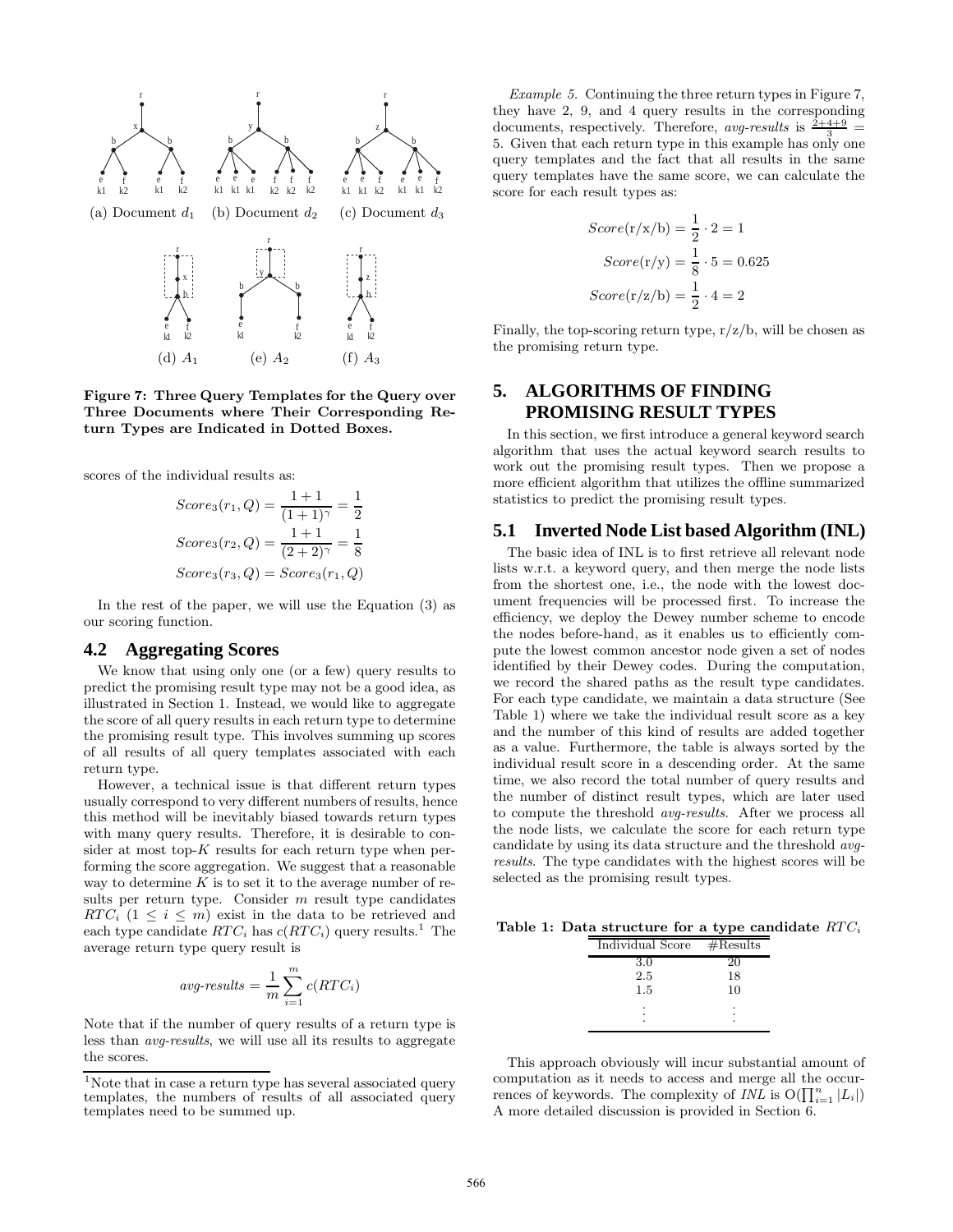

Figure 7: Three Query Templates for the Query over Three Documents where Their Corresponding Return Types are Indicated in Dotted Boxes.

scores of the individual results as:

$$
Score_3(r_1, Q) = \frac{1+1}{(1+1)^{\gamma}} = \frac{1}{2}
$$

$$
Score_3(r_2, Q) = \frac{1+1}{(2+2)^{\gamma}} = \frac{1}{8}
$$

$$
Score_3(r_3, Q) = Score_3(r_1, Q)
$$

In the rest of the paper, we will use the Equation (3) as our scoring function.

# **4.2 Aggregating Scores**

We know that using only one (or a few) query results to predict the promising result type may not be a good idea, as illustrated in Section 1. Instead, we would like to aggregate the score of all query results in each return type to determine the promising result type. This involves summing up scores of all results of all query templates associated with each return type.

However, a technical issue is that different return types usually correspond to very different numbers of results, hence this method will be inevitably biased towards return types with many query results. Therefore, it is desirable to consider at most top- $K$  results for each return type when performing the score aggregation. We suggest that a reasonable way to determine  $K$  is to set it to the average number of results per return type. Consider  $m$  result type candidates RTC<sub>i</sub>  $(1 \leq i \leq m)$  exist in the data to be retrieved and each type candidate  $RTC_i$  has  $c(RTC_i)$  query results.<sup>1</sup> The average return type query result is

$$
avg\text{-}results = \frac{1}{m} \sum_{i=1}^{m} c(RTC_i)
$$

Note that if the number of query results of a return type is less than avg-results, we will use all its results to aggregate the scores.

Example 5. Continuing the three return types in Figure 7, they have 2, 9, and 4 query results in the corresponding documents, respectively. Therefore, avg-results is  $\frac{2+4+9}{3}$  = 5. Given that each return type in this example has only one query templates and the fact that all results in the same query templates have the same score, we can calculate the score for each result types as:

$$
Score(r/x/b) = \frac{1}{2} \cdot 2 = 1
$$

$$
Score(r/y) = \frac{1}{8} \cdot 5 = 0.625
$$

$$
Score(r/z/b) = \frac{1}{2} \cdot 4 = 2
$$

Finally, the top-scoring return type,  $r/z/b$ , will be chosen as the promising return type.

# **5. ALGORITHMS OF FINDING PROMISING RESULT TYPES**

In this section, we first introduce a general keyword search algorithm that uses the actual keyword search results to work out the promising result types. Then we propose a more efficient algorithm that utilizes the offline summarized statistics to predict the promising result types.

# **5.1 Inverted Node List based Algorithm (INL)**

The basic idea of INL is to first retrieve all relevant node lists w.r.t. a keyword query, and then merge the node lists from the shortest one, i.e., the node with the lowest document frequencies will be processed first. To increase the efficiency, we deploy the Dewey number scheme to encode the nodes before-hand, as it enables us to efficiently compute the lowest common ancestor node given a set of nodes identified by their Dewey codes. During the computation, we record the shared paths as the result type candidates. For each type candidate, we maintain a data structure (See Table 1) where we take the individual result score as a key and the number of this kind of results are added together as a value. Furthermore, the table is always sorted by the individual result score in a descending order. At the same time, we also record the total number of query results and the number of distinct result types, which are later used to compute the threshold avg-results. After we process all the node lists, we calculate the score for each return type candidate by using its data structure and the threshold avgresults. The type candidates with the highest scores will be selected as the promising result types.

Table 1: Data structure for a type candidate  $RTC_i$ 

| Individual Score | $\#\text{Results}$ |
|------------------|--------------------|
| 3.0              | 20                 |
| 2.5              | 18                 |
| $1.5\,$          | 10                 |
|                  |                    |
|                  |                    |
|                  |                    |

This approach obviously will incur substantial amount of computation as it needs to access and merge all the occurrences of keywords. The complexity of  $INL$  is  $O(\prod_{i=1}^{n} |L_i|)$ A more detailed discussion is provided in Section 6.

<sup>&</sup>lt;sup>1</sup>Note that in case a return type has several associated query templates, the numbers of results of all associated query templates need to be summed up.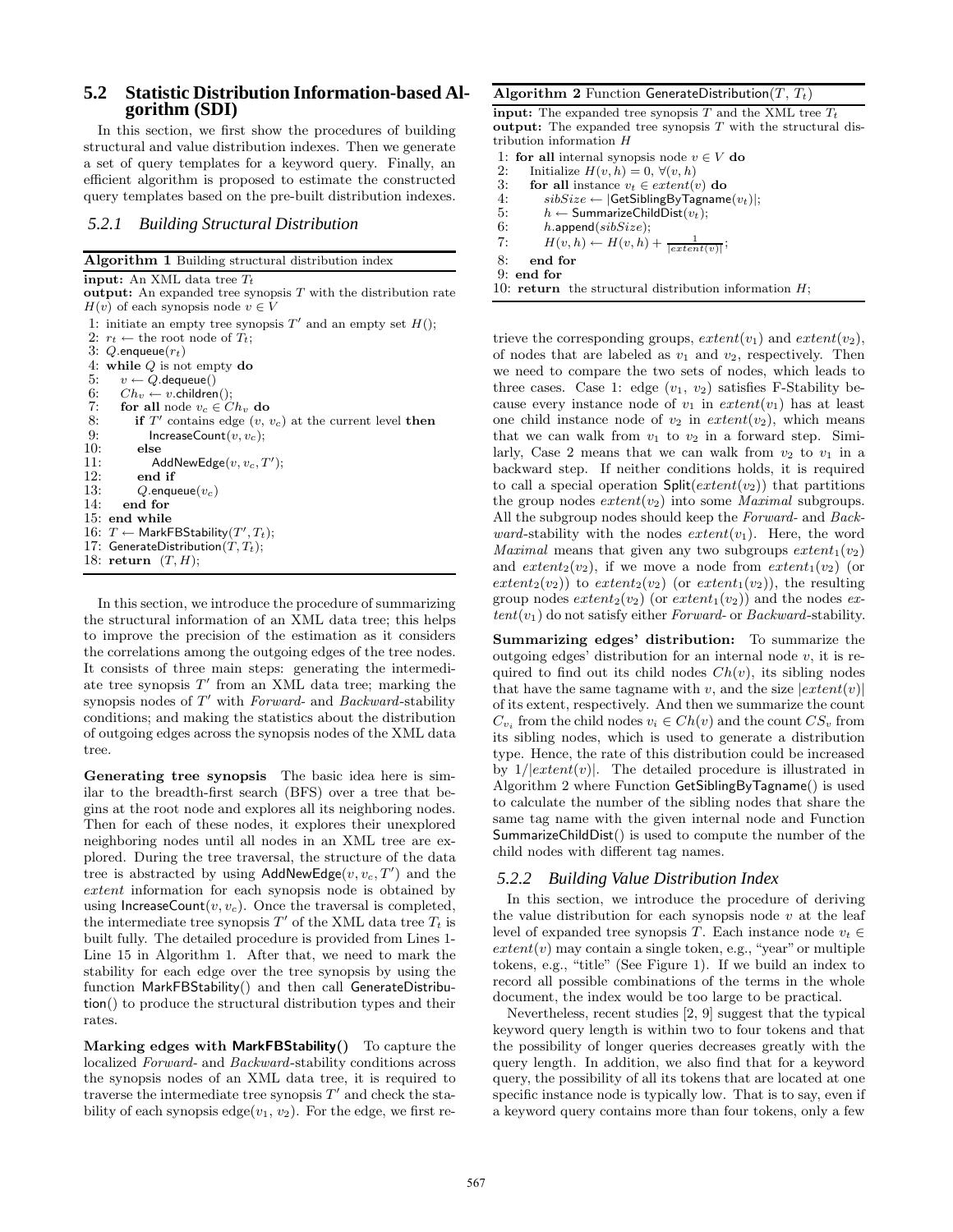# **5.2 Statistic Distribution Information-based Algorithm (SDI)**

In this section, we first show the procedures of building structural and value distribution indexes. Then we generate a set of query templates for a keyword query. Finally, an efficient algorithm is proposed to estimate the constructed query templates based on the pre-built distribution indexes.

#### *5.2.1 Building Structural Distribution*

Algorithm 1 Building structural distribution index input: An XML data tree  $T_t$ output: An expanded tree synopsis  $T$  with the distribution rate  $H(v)$  of each synopsis node  $v \in V$ 1: initiate an empty tree synopsis  $T'$  and an empty set  $H()$ ; 2:  $r_t \leftarrow$  the root node of  $T_t$ ; 3:  $Q$ .enqueue $(r_t)$ 4: while Q is not empty do 5:  $v \leftarrow Q$ . dequeue() 6:  $Ch_v \leftarrow v.\text{children}();$ <br>7: for all node  $v_c \in C$ for all node  $v_c \in Ch_v$  do 8: if  $T'$  contains edge  $(v, v_c)$  at the current level then 9: IncreaseCount $(v, v_c)$ ;<br>10: else 10: else<br>11: A 11: AddNewEdge $(v, v_c, T')$ ; 12: end if<br>13:  $Q_{\text{enqu}}$ 13:  $Q$ .enqueue $(v_c)$ <br>14: end for end for 15: end while 16:  $T \leftarrow$  MarkFBStability $(T', T_t)$ ; 17: GenerateDistribution $(T, T_t)$ ; 18: return  $(T, H)$ ;

In this section, we introduce the procedure of summarizing the structural information of an XML data tree; this helps to improve the precision of the estimation as it considers the correlations among the outgoing edges of the tree nodes. It consists of three main steps: generating the intermediate tree synopsis  $T'$  from an XML data tree; marking the synopsis nodes of  $T'$  with Forward- and Backward-stability conditions; and making the statistics about the distribution of outgoing edges across the synopsis nodes of the XML data tree.

Generating tree synopsis The basic idea here is similar to the breadth-first search (BFS) over a tree that begins at the root node and explores all its neighboring nodes. Then for each of these nodes, it explores their unexplored neighboring nodes until all nodes in an XML tree are explored. During the tree traversal, the structure of the data tree is abstracted by using  $AddNewEdge(v, v_c, T')$  and the extent information for each synopsis node is obtained by using IncreaseCount $(v, v_c)$ . Once the traversal is completed, the intermediate tree synopsis  $T'$  of the XML data tree  $T_t$  is built fully. The detailed procedure is provided from Lines 1- Line 15 in Algorithm 1. After that, we need to mark the stability for each edge over the tree synopsis by using the function MarkFBStability() and then call GenerateDistribution() to produce the structural distribution types and their rates.

Marking edges with MarkFBStability() To capture the localized Forward- and Backward-stability conditions across the synopsis nodes of an XML data tree, it is required to traverse the intermediate tree synopsis  $T'$  and check the stability of each synopsis edge( $v_1, v_2$ ). For the edge, we first re-

#### Algorithm 2 Function GenerateDistribution $(T, T_t)$

**input:** The expanded tree synopsis  $T$  and the XML tree  $T_t$ **output:** The expanded tree synopsis  $T$  with the structural distribution information H

- 1: **for all** internal synopsis node  $v \in V$  **do**<br>2: Initialize  $H(v, h) = 0, \forall (v, h)$
- 2: Initialize  $H(v, h) = 0, \forall (v, h)$ <br>3: **for all** instance  $v_t \in extent(v)$
- for all instance  $v_t \in extent(v)$  do
- 4:  $sibSize \leftarrow |GetSiblingByTagname(v_t)|;$ <br>5:  $h \leftarrow SummarizeChildDist(v_t);$

5:  $h \leftarrow$  SummarizeChildDist $(v_t)$ ;<br>6:  $h$ , append(sibSize):

 $h.\text{append}(sibSize);$ 

7:  $H(v, h) \leftarrow H(v, h) + \frac{1}{|extent(v)|};$ 

8: end for

9: end for

10: return the structural distribution information  $H$ :

trieve the corresponding groups,  $extent(v_1)$  and  $extent(v_2)$ , of nodes that are labeled as  $v_1$  and  $v_2$ , respectively. Then we need to compare the two sets of nodes, which leads to three cases. Case 1: edge  $(v_1, v_2)$  satisfies F-Stability because every instance node of  $v_1$  in  $extent(v_1)$  has at least one child instance node of  $v_2$  in  $extent(v_2)$ , which means that we can walk from  $v_1$  to  $v_2$  in a forward step. Similarly, Case 2 means that we can walk from  $v_2$  to  $v_1$  in a backward step. If neither conditions holds, it is required to call a special operation  $\text{Split}(extent(v_2))$  that partitions the group nodes  $extent(v_2)$  into some *Maximal* subgroups. All the subgroup nodes should keep the Forward- and Backward-stability with the nodes  $extent(v_1)$ . Here, the word *Maximal* means that given any two subgroups  $extent_1(v_2)$ and  $extent_2(v_2)$ , if we move a node from  $extent_1(v_2)$  (or  $extent_2(v_2)$  to  $extent_2(v_2)$  (or  $extent_1(v_2)$ ), the resulting group nodes  $extent_2(v_2)$  (or  $extent_1(v_2)$ ) and the nodes ex $tent(v_1)$  do not satisfy either Forward- or Backward-stability.

Summarizing edges' distribution: To summarize the outgoing edges' distribution for an internal node  $v$ , it is required to find out its child nodes  $Ch(v)$ , its sibling nodes that have the same tagname with v, and the size  $|extent(v)|$ of its extent, respectively. And then we summarize the count  $C_{v_i}$  from the child nodes  $v_i \in Ch(v)$  and the count  $CS_v$  from its sibling nodes, which is used to generate a distribution type. Hence, the rate of this distribution could be increased by  $1/|extent(v)|$ . The detailed procedure is illustrated in Algorithm 2 where Function GetSiblingByTagname() is used to calculate the number of the sibling nodes that share the same tag name with the given internal node and Function SummarizeChildDist() is used to compute the number of the child nodes with different tag names.

#### *5.2.2 Building Value Distribution Index*

In this section, we introduce the procedure of deriving the value distribution for each synopsis node  $v$  at the leaf level of expanded tree synopsis T. Each instance node  $v_t \in$  $extent(v)$  may contain a single token, e.g., "year" or multiple tokens, e.g., "title" (See Figure 1). If we build an index to record all possible combinations of the terms in the whole document, the index would be too large to be practical.

Nevertheless, recent studies [2, 9] suggest that the typical keyword query length is within two to four tokens and that the possibility of longer queries decreases greatly with the query length. In addition, we also find that for a keyword query, the possibility of all its tokens that are located at one specific instance node is typically low. That is to say, even if a keyword query contains more than four tokens, only a few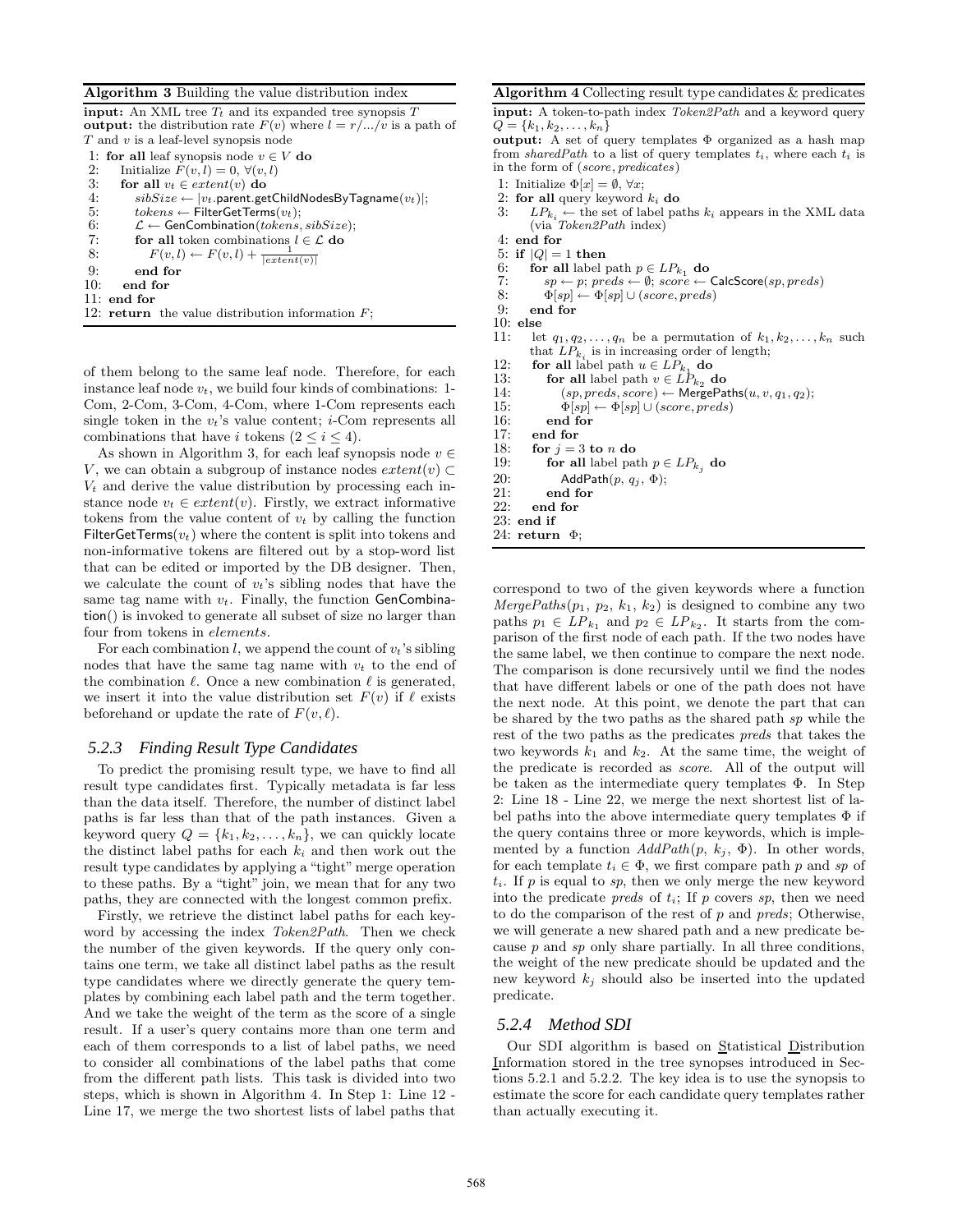#### Algorithm 3 Building the value distribution index

input: An XML tree  $T_t$  and its expanded tree synopsis  $T_t$ **output:** the distribution rate  $F(v)$  where  $l = r/.../v$  is a path of T and v is a leaf-level synopsis node

1: **for all** leaf synopsis node  $v \in V$  **do**<br>2: Initialize  $F(v, l) = 0 \forall (v, l)$ 

2: Initialize  $F(v, l) = 0, \forall (v, l)$ <br>3: **for all**  $v_t \in extent(v)$  **do** 

3: for all  $v_t \in extent(v)$  do<br>4:  $sibSize \leftarrow |v_t$ . parent.ge

4:  $sibSize \leftarrow |v_t.\text{parent.getChildNodesByTagname}(v_t)|;$ <br>5:  $to kens \leftarrow \text{FilterGetTerms}(v_t):$ 

5:  $tokens \leftarrow \text{FilterGetTerms}(v_t);$ <br>6:  $\mathcal{L} \leftarrow \text{GenCombination}(tokens,$ 

```
6: \mathcal{L} \leftarrow GenCombination(tokens, sibSize);<br>7: for all token combinations l \in \mathcal{L} do
```

```
7: for all token combinations l \in \mathcal{L} do<br>8: F(v, l) \leftarrow F(v, l) + \frac{1}{1 + (v, l)}
```

```
8: F(v, l) \leftarrow F(v, l) + \frac{1}{|extent(v)|}
```
9: end for

- 10: end for 11: end for
- 12: return the value distribution information  $F$ ;

of them belong to the same leaf node. Therefore, for each instance leaf node  $v_t$ , we build four kinds of combinations: 1-Com, 2-Com, 3-Com, 4-Com, where 1-Com represents each single token in the  $v_t$ 's value content; *i*-Com represents all combinations that have i tokens  $(2 \leq i \leq 4)$ .

As shown in Algorithm 3, for each leaf synopsis node  $v \in$ V, we can obtain a subgroup of instance nodes  $extent(v) \subset$  $V_t$  and derive the value distribution by processing each instance node  $v_t \in extent(v)$ . Firstly, we extract informative tokens from the value content of  $v_t$  by calling the function FilterGetTerms( $v_t$ ) where the content is split into tokens and non-informative tokens are filtered out by a stop-word list that can be edited or imported by the DB designer. Then, we calculate the count of  $v_t$ 's sibling nodes that have the same tag name with  $v_t$ . Finally, the function GenCombination() is invoked to generate all subset of size no larger than four from tokens in elements.

For each combination l, we append the count of  $v_t$ 's sibling nodes that have the same tag name with  $v_t$  to the end of the combination  $\ell$ . Once a new combination  $\ell$  is generated, we insert it into the value distribution set  $F(v)$  if  $\ell$  exists beforehand or update the rate of  $F(v, \ell)$ .

# *5.2.3 Finding Result Type Candidates*

To predict the promising result type, we have to find all result type candidates first. Typically metadata is far less than the data itself. Therefore, the number of distinct label paths is far less than that of the path instances. Given a keyword query  $Q = \{k_1, k_2, \ldots, k_n\}$ , we can quickly locate the distinct label paths for each  $k_i$  and then work out the result type candidates by applying a "tight" merge operation to these paths. By a "tight" join, we mean that for any two paths, they are connected with the longest common prefix.

Firstly, we retrieve the distinct label paths for each keyword by accessing the index Token2Path. Then we check the number of the given keywords. If the query only contains one term, we take all distinct label paths as the result type candidates where we directly generate the query templates by combining each label path and the term together. And we take the weight of the term as the score of a single result. If a user's query contains more than one term and each of them corresponds to a list of label paths, we need to consider all combinations of the label paths that come from the different path lists. This task is divided into two steps, which is shown in Algorithm 4. In Step 1: Line 12 - Line 17, we merge the two shortest lists of label paths that

| <b>Algorithm 4</b> Collecting result type candidates $\&$ predicates      |
|---------------------------------------------------------------------------|
| <b>input:</b> A token-to-path index <i>Token2Path</i> and a keyword query |
| $Q = \{k_1, k_2, \ldots, k_n\}$                                           |
| <b>output:</b> A set of query templates $\Phi$ organized as a hash map    |

from sharedPath to a list of query templates  $t_i$ , where each  $t_i$  is in the form of (score, predicates)

- 1: Initialize  $\Phi[x] = \emptyset$ ,  $\forall x$ ;<br>2: **for all** query keyword
- 2: for all query keyword  $k_i$  do<br>3:  $LP_k \leftarrow$  the set of label pa
- 3:  $LP_{k_i} \leftarrow$  the set of label paths  $k_i$  appears in the XML data (via Token2Path index)
- 4: end for<br>5: if  $|Q| =$
- 5: if  $|Q| = 1$  then<br>6: for all label
- 6: **for all** label path  $p \in LP_{k_1}$  **do**<br>7:  $sp \leftarrow p$ ; preds  $\leftarrow \emptyset$ ; score  $\leftarrow$
- $s p \leftarrow p; \, \textit{preds} \leftarrow \emptyset; \, \textit{score} \leftarrow \textsf{CalcScore}(sp, \textit{preds})$
- 8:  $\Phi[sp] \leftarrow \Phi[sp] \cup (score, preds)$
- 9: end for
- 10:  $else$ <br>11:  $else$
- let  $q_1, q_2, \ldots, q_n$  be a permutation of  $k_1, k_2, \ldots, k_n$  such that  $LP_{k_i}$  is in increasing order of length;
- 12: **for all label path**  $u \in LP_{k_1}$  **do**<br>13: **for all label path**  $v \in LP_{k_2}$  **d**
- 13: **for all** label path  $v \in LP_{k_2}$  **do**<br>14:  $(sp, preds, score) \leftarrow MergePar$
- 14:  $(sp, \text{preds}, \text{score}) \leftarrow \text{MergePaths}(u, v, q_1, q_2);$ <br>15:  $\Phi[\text{sn}] \leftarrow \Phi[\text{sn}] \cup (\text{score}, \text{preds})$
- 15:  $\Phi[sp] \leftarrow \Phi[sp] \cup (score, preds)$ <br>16: end for

- 16: end for<br>17: end for
- 17: end for<br>18: for  $i =$
- 18: for  $j = 3$  to n do<br>19: for all label part 19: **for all** label path  $p \in LP_{k_j}$  do
- 20: AddPath $(p, q_j, \Phi)$ ;<br>21: end for
- 
- 21: end for  $22$  end for end for
- 23: end if
- 24: return  $\Phi$ ;

correspond to two of the given keywords where a function  $MergePaths(p_1, p_2, k_1, k_2)$  is designed to combine any two paths  $p_1 \in LP_{k_1}$  and  $p_2 \in LP_{k_2}$ . It starts from the comparison of the first node of each path. If the two nodes have the same label, we then continue to compare the next node. The comparison is done recursively until we find the nodes that have different labels or one of the path does not have the next node. At this point, we denote the part that can be shared by the two paths as the shared path sp while the rest of the two paths as the predicates preds that takes the two keywords  $k_1$  and  $k_2$ . At the same time, the weight of the predicate is recorded as score. All of the output will be taken as the intermediate query templates Φ. In Step 2: Line 18 - Line 22, we merge the next shortest list of label paths into the above intermediate query templates  $\Phi$  if the query contains three or more keywords, which is implemented by a function  $AddPath(p, k_i, \Phi)$ . In other words, for each template  $t_i \in \Phi$ , we first compare path p and sp of  $t_i$ . If p is equal to sp, then we only merge the new keyword into the predicate *preds* of  $t_i$ ; If p covers sp, then we need to do the comparison of the rest of  $p$  and  $\text{preds}$ ; Otherwise, we will generate a new shared path and a new predicate because  $p$  and  $sp$  only share partially. In all three conditions, the weight of the new predicate should be updated and the new keyword  $k_i$  should also be inserted into the updated predicate.

#### *5.2.4 Method SDI*

Our SDI algorithm is based on Statistical Distribution Information stored in the tree synopses introduced in Sections 5.2.1 and 5.2.2. The key idea is to use the synopsis to estimate the score for each candidate query templates rather than actually executing it.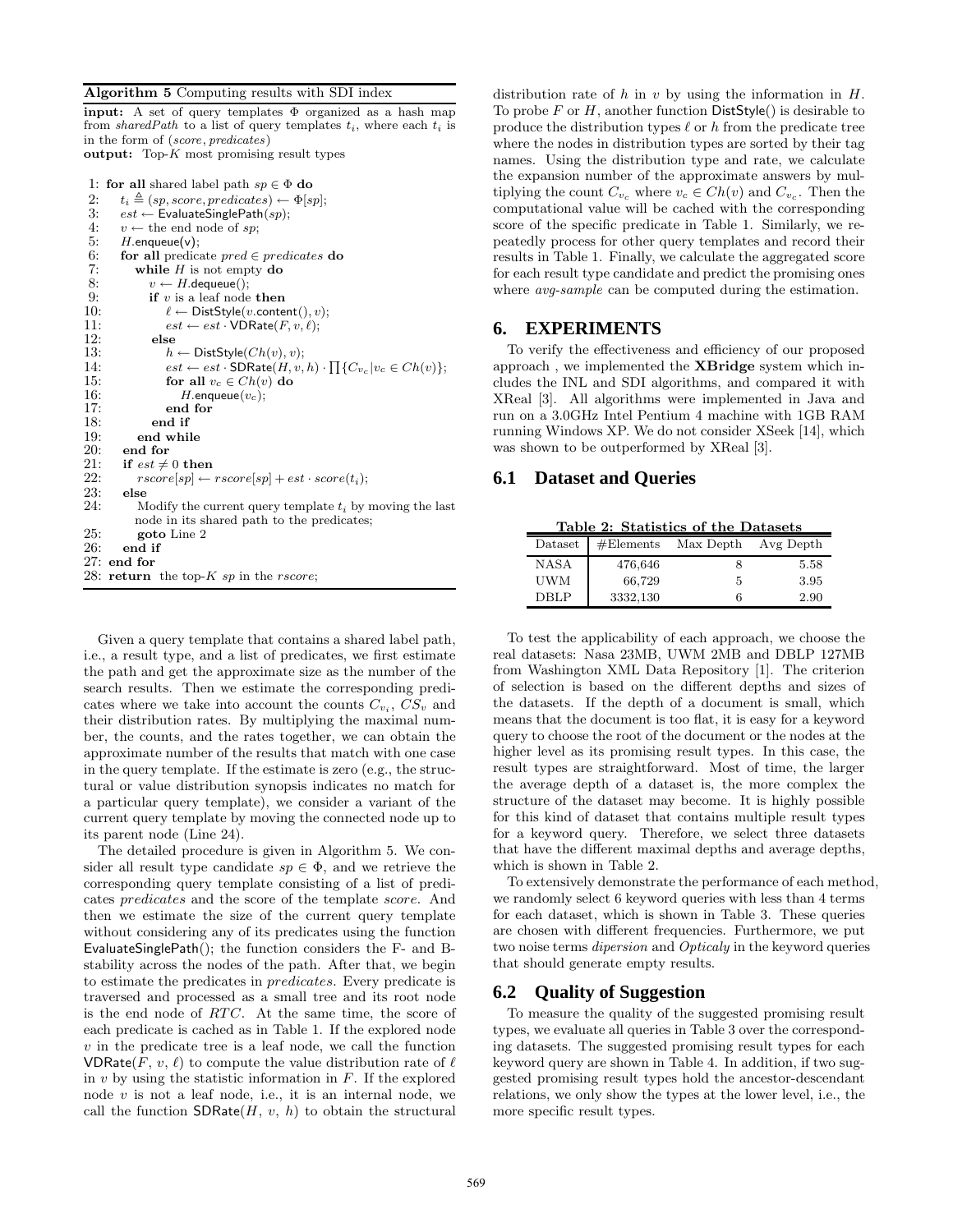#### Algorithm 5 Computing results with SDI index

input: A set of query templates Φ organized as a hash map from sharedPath to a list of query templates  $t_i$ , where each  $t_i$  is in the form of (score, predicates) output: Top- $K$  most promising result types

1: for all shared label path  $sp \in \Phi$  do 2:  $t_i \triangleq (sp, score, predicates) \leftarrow \Phi[sp];$ <br>3:  $est \leftarrow EvaluateSinglePath(sp);$  $est \leftarrow$  EvaluateSinglePath $(sp);$ 4:  $v \leftarrow$  the end node of sp; 5:  $H$  enqueue(v);<br>6: **for all** predical for all predicate  $pred \in predicates$  do 7: while *H* is not empty **do**<br>8:  $v \leftarrow H$ . dequeue();  $v \leftarrow H$ . dequeue(); 9: **if** v is a leaf node **then**<br>10:  $\ell \leftarrow \text{DistStyle}(v.\text{conte})$ 10:  $\ell \leftarrow \text{DistStyle}(v \text{.content}(), v);$ <br>11:  $est \leftarrow est \cdot \text{VDRate}(F, v, \ell);$ 11:  $est \leftarrow est \cdot \text{VDRate}(F, v, \ell);$ <br>12:  $else$ 12: else<br>13:  $h$  $h \leftarrow$  DistStyle( $Ch(v), v$ ); 14:  $est \leftarrow est \cdot \text{SDRate}(H, v, h) \cdot \prod \{C_{v_c} | v_c \in Ch(v) \};$ 15: for all  $v_c \in Ch(v)$  do 16: *H*.enqueue $(v_c)$ ; 16:  $H.\text{enqueue}(v_c);$ <br>17: end for end for  $18:$  end if  $19:$  end while 19: end while<br>20: end for 20: end for<br>21: if  $est \neq$ if  $est \neq 0$  then 22:  $rscore[sp] \leftarrow rscore[sp] + est \cdot score(t_i);$ <br>23: else 23: else<br>  $24:$  M Modify the current query template  $t_i$  by moving the last node in its shared path to the predicates; 25: goto Line 2 26: end if 27: end for 28: return the top- $K$  sp in the *rscore*;

Given a query template that contains a shared label path, i.e., a result type, and a list of predicates, we first estimate the path and get the approximate size as the number of the search results. Then we estimate the corresponding predicates where we take into account the counts  $C_{v_i}, CS_v$  and their distribution rates. By multiplying the maximal number, the counts, and the rates together, we can obtain the approximate number of the results that match with one case in the query template. If the estimate is zero (e.g., the structural or value distribution synopsis indicates no match for a particular query template), we consider a variant of the current query template by moving the connected node up to its parent node (Line 24).

The detailed procedure is given in Algorithm 5. We consider all result type candidate  $sp \in \Phi$ , and we retrieve the corresponding query template consisting of a list of predicates predicates and the score of the template score. And then we estimate the size of the current query template without considering any of its predicates using the function EvaluateSinglePath(); the function considers the F- and Bstability across the nodes of the path. After that, we begin to estimate the predicates in predicates. Every predicate is traversed and processed as a small tree and its root node is the end node of  $RTC$ . At the same time, the score of each predicate is cached as in Table 1. If the explored node  $v$  in the predicate tree is a leaf node, we call the function VDRate(F, v,  $\ell$ ) to compute the value distribution rate of  $\ell$ in  $v$  by using the statistic information in  $F$ . If the explored node  $v$  is not a leaf node, i.e., it is an internal node, we call the function  $SDRate(H, v, h)$  to obtain the structural

distribution rate of h in v by using the information in  $H$ . To probe F or H, another function  $DistStyle()$  is desirable to produce the distribution types  $\ell$  or h from the predicate tree where the nodes in distribution types are sorted by their tag names. Using the distribution type and rate, we calculate the expansion number of the approximate answers by multiplying the count  $C_{v_c}$  where  $v_c \in Ch(v)$  and  $C_{v_c}$ . Then the computational value will be cached with the corresponding score of the specific predicate in Table 1. Similarly, we repeatedly process for other query templates and record their results in Table 1. Finally, we calculate the aggregated score for each result type candidate and predict the promising ones where *avg-sample* can be computed during the estimation.

# **6. EXPERIMENTS**

To verify the effectiveness and efficiency of our proposed approach , we implemented the XBridge system which includes the INL and SDI algorithms, and compared it with XReal [3]. All algorithms were implemented in Java and run on a 3.0GHz Intel Pentium 4 machine with 1GB RAM running Windows XP. We do not consider XSeek [14], which was shown to be outperformed by XReal [3].

#### **6.1 Dataset and Queries**

Table 2: Statistics of the Datasets

Dataset | #Elements Max Depth Avg Depth NASA 476.646 8 5.58 UWM 66,729 5 3.95 DBLP 3332,130 6 2.90

To test the applicability of each approach, we choose the real datasets: Nasa 23MB, UWM 2MB and DBLP 127MB from Washington XML Data Repository [1]. The criterion of selection is based on the different depths and sizes of the datasets. If the depth of a document is small, which means that the document is too flat, it is easy for a keyword query to choose the root of the document or the nodes at the higher level as its promising result types. In this case, the result types are straightforward. Most of time, the larger the average depth of a dataset is, the more complex the structure of the dataset may become. It is highly possible for this kind of dataset that contains multiple result types for a keyword query. Therefore, we select three datasets that have the different maximal depths and average depths, which is shown in Table 2.

To extensively demonstrate the performance of each method, we randomly select 6 keyword queries with less than 4 terms for each dataset, which is shown in Table 3. These queries are chosen with different frequencies. Furthermore, we put two noise terms dipersion and Opticaly in the keyword queries that should generate empty results.

# **6.2 Quality of Suggestion**

To measure the quality of the suggested promising result types, we evaluate all queries in Table 3 over the corresponding datasets. The suggested promising result types for each keyword query are shown in Table 4. In addition, if two suggested promising result types hold the ancestor-descendant relations, we only show the types at the lower level, i.e., the more specific result types.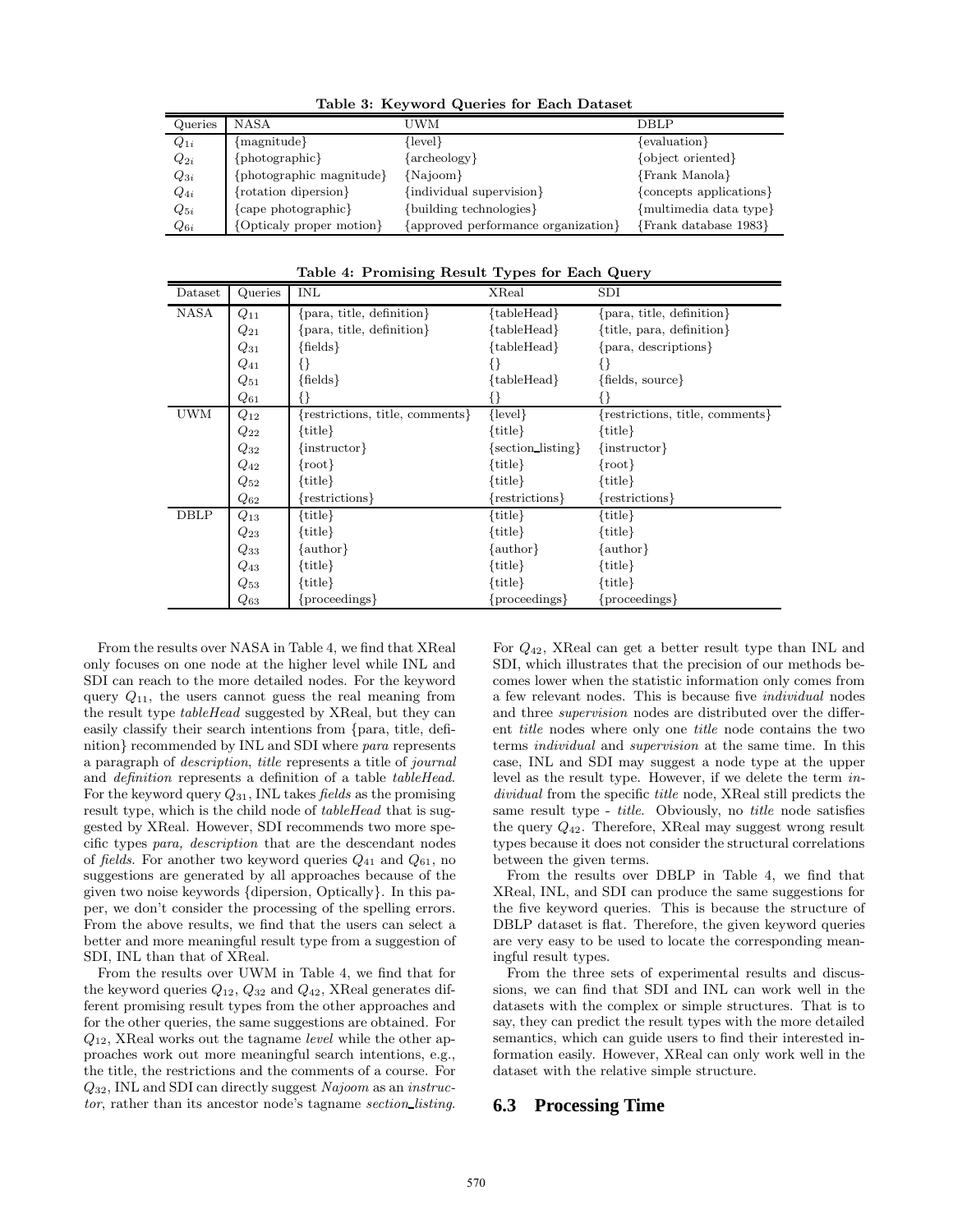| Queries  | <b>NASA</b>              | UWM                                 | DBLP                    |
|----------|--------------------------|-------------------------------------|-------------------------|
| $Q_{1i}$ | ${maxnitude}$            | {level}                             | {evaluation}            |
| $Q_{2i}$ | {photographic}           | $\{archeology\}$                    | {object oriented}       |
| $Q_{3i}$ | photographic magnitude}  | {Najoom}                            | {Frank Manola}          |
| $Q_{4i}$ | {rotation dipersion}     | {individual supervision}            | {concepts applications} |
| $Q_{5i}$ | {cape photographic}      | {building technologies}             | {multimedia data type}  |
| $Q_{6i}$ | {Opticaly proper motion} | {approved performance organization} | {Frank database 1983}   |

Table 3: Keyword Queries for Each Dataset

|  | Table 4: Promising Result Types for Each Query |  |  |
|--|------------------------------------------------|--|--|
|--|------------------------------------------------|--|--|

| $_{\text{Dataset}}$ | Queries   | INL                             | XReal                    | SDI                             |
|---------------------|-----------|---------------------------------|--------------------------|---------------------------------|
| NASA                | $Q_{11}$  | {para, title, definition}       | {tableHead}              | {para, title, definition}       |
|                     | $Q_{21}$  | {para, title, definition}       | {tableHead}              | {title, para, definition}       |
|                     | $Q_{31}$  | ${fields}$                      | {tableHead}              | {para, descriptions}            |
|                     | $Q_{41}$  | { }                             | ₹∤                       | ₹∤                              |
|                     | $Q_{51}$  | ${fields}$                      | ${\{\text{tableHead}\}}$ | ${fields, source}$              |
|                     | $Q_{61}$  |                                 |                          |                                 |
| UWM                 | $Q_{12}$  | {restrictions, title, comments} | $\{level\}$              | {restrictions, title, comments} |
|                     | $\,_{22}$ | title}                          | $\{title\}$              | $\{title\}$                     |
|                     | $Q_{32}$  | $\{$ instructor $\}$            | {section_listing}        | $\{$ instructor $\}$            |
|                     | $Q_{42}$  | $\{\text{root}\}$               | $\{title\}$              | $\{\text{root}\}\$              |
|                     | $\,_{52}$ | title }                         | $\{title\}$              | $\{title\}$                     |
|                     | $Q_{62}$  | restrictions                    | {restrictions}           | {restrictions}                  |
| <b>DBLP</b>         | $Q_{13}$  | $\{title\}$                     | $\{title\}$              | $\{title\}$                     |
|                     | $\,_{23}$ | title }                         | $\{title\}$              | $\{title\}$                     |
|                     | $Q_{33}$  | author                          | $\{author\}$             | $\{author\}$                    |
|                     | $Q_{43}$  | title }                         | $\{title\}$              | $\{title\}$                     |
|                     | $Q_{53}$  | title}                          | $\{title\}$              | $\{title\}$                     |
|                     | $Q_{63}$  | proceedings                     | ${proceedings}$          | ${proceedings}$                 |

From the results over NASA in Table 4, we find that XReal only focuses on one node at the higher level while INL and SDI can reach to the more detailed nodes. For the keyword query  $Q_{11}$ , the users cannot guess the real meaning from the result type tableHead suggested by XReal, but they can easily classify their search intentions from {para, title, definition} recommended by INL and SDI where para represents a paragraph of description, title represents a title of journal and definition represents a definition of a table tableHead. For the keyword query  $Q_{31}$ , INL takes *fields* as the promising result type, which is the child node of *tableHead* that is suggested by XReal. However, SDI recommends two more specific types para, description that are the descendant nodes of fields. For another two keyword queries  $Q_{41}$  and  $Q_{61}$ , no suggestions are generated by all approaches because of the given two noise keywords {dipersion, Optically}. In this paper, we don't consider the processing of the spelling errors. From the above results, we find that the users can select a better and more meaningful result type from a suggestion of SDI, INL than that of XReal.

From the results over UWM in Table 4, we find that for the keyword queries  $Q_{12}$ ,  $Q_{32}$  and  $Q_{42}$ , XReal generates different promising result types from the other approaches and for the other queries, the same suggestions are obtained. For  $Q_{12}$ , XReal works out the tagname *level* while the other approaches work out more meaningful search intentions, e.g., the title, the restrictions and the comments of a course. For Q32, INL and SDI can directly suggest Najoom as an instructor, rather than its ancestor node's tagname section\_listing.

For Q42, XReal can get a better result type than INL and SDI, which illustrates that the precision of our methods becomes lower when the statistic information only comes from a few relevant nodes. This is because five individual nodes and three supervision nodes are distributed over the different title nodes where only one title node contains the two terms individual and supervision at the same time. In this case, INL and SDI may suggest a node type at the upper level as the result type. However, if we delete the term individual from the specific title node, XReal still predicts the same result type - title. Obviously, no title node satisfies the query  $Q_{42}$ . Therefore, XReal may suggest wrong result types because it does not consider the structural correlations between the given terms.

From the results over DBLP in Table 4, we find that XReal, INL, and SDI can produce the same suggestions for the five keyword queries. This is because the structure of DBLP dataset is flat. Therefore, the given keyword queries are very easy to be used to locate the corresponding meaningful result types.

From the three sets of experimental results and discussions, we can find that SDI and INL can work well in the datasets with the complex or simple structures. That is to say, they can predict the result types with the more detailed semantics, which can guide users to find their interested information easily. However, XReal can only work well in the dataset with the relative simple structure.

# **6.3 Processing Time**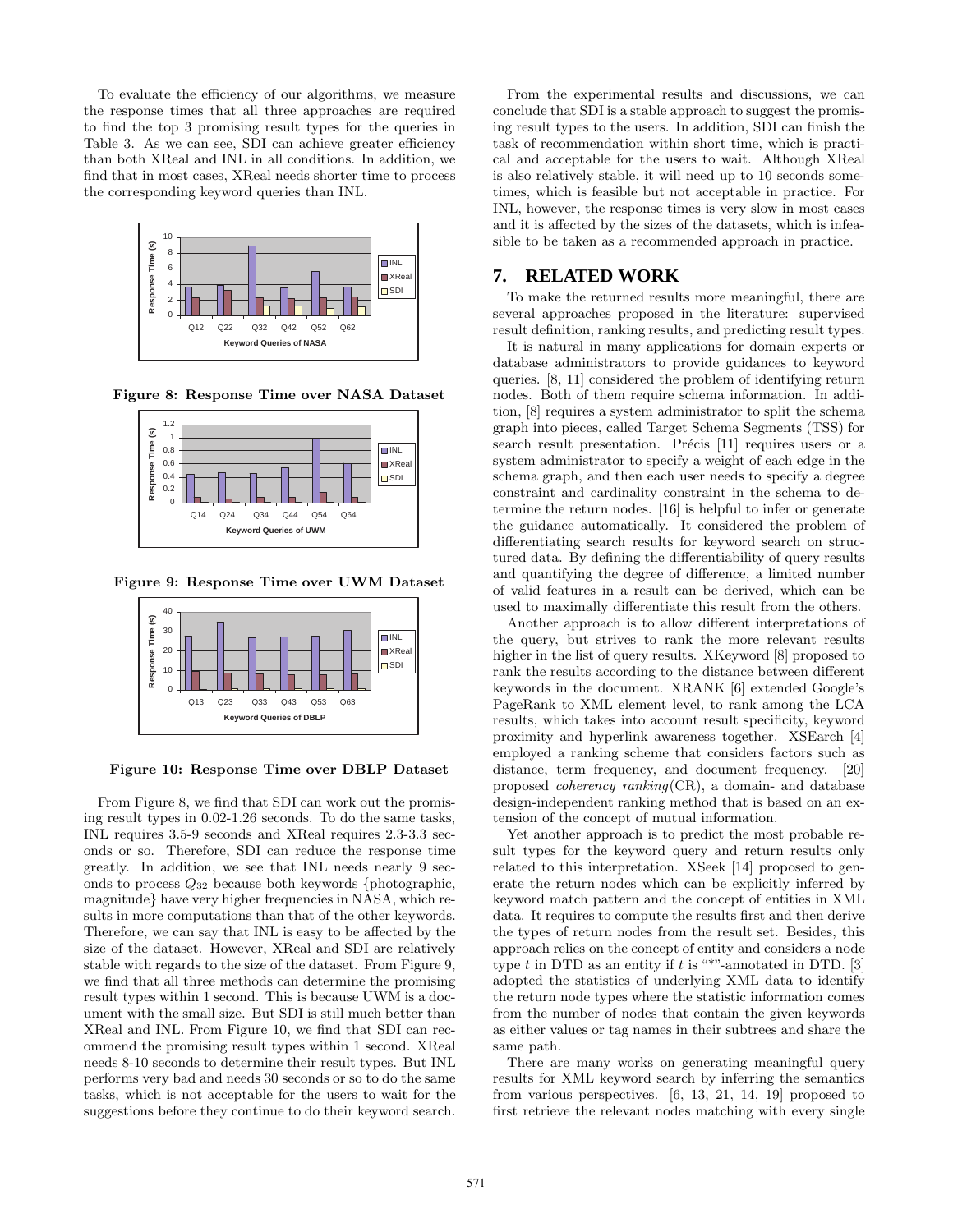To evaluate the efficiency of our algorithms, we measure the response times that all three approaches are required to find the top 3 promising result types for the queries in Table 3. As we can see, SDI can achieve greater efficiency than both XReal and INL in all conditions. In addition, we find that in most cases, XReal needs shorter time to process the corresponding keyword queries than INL.



Figure 8: Response Time over NASA Dataset



Figure 9: Response Time over UWM Dataset



#### Figure 10: Response Time over DBLP Dataset

From Figure 8, we find that SDI can work out the promising result types in 0.02-1.26 seconds. To do the same tasks, INL requires 3.5-9 seconds and XReal requires 2.3-3.3 seconds or so. Therefore, SDI can reduce the response time greatly. In addition, we see that INL needs nearly 9 seconds to process Q<sup>32</sup> because both keywords {photographic, magnitude} have very higher frequencies in NASA, which results in more computations than that of the other keywords. Therefore, we can say that INL is easy to be affected by the size of the dataset. However, XReal and SDI are relatively stable with regards to the size of the dataset. From Figure 9, we find that all three methods can determine the promising result types within 1 second. This is because UWM is a document with the small size. But SDI is still much better than XReal and INL. From Figure 10, we find that SDI can recommend the promising result types within 1 second. XReal needs 8-10 seconds to determine their result types. But INL performs very bad and needs 30 seconds or so to do the same tasks, which is not acceptable for the users to wait for the suggestions before they continue to do their keyword search.

From the experimental results and discussions, we can conclude that SDI is a stable approach to suggest the promising result types to the users. In addition, SDI can finish the task of recommendation within short time, which is practical and acceptable for the users to wait. Although XReal is also relatively stable, it will need up to 10 seconds sometimes, which is feasible but not acceptable in practice. For INL, however, the response times is very slow in most cases and it is affected by the sizes of the datasets, which is infeasible to be taken as a recommended approach in practice.

# **7. RELATED WORK**

To make the returned results more meaningful, there are several approaches proposed in the literature: supervised result definition, ranking results, and predicting result types.

It is natural in many applications for domain experts or database administrators to provide guidances to keyword queries. [8, 11] considered the problem of identifying return nodes. Both of them require schema information. In addition, [8] requires a system administrator to split the schema graph into pieces, called Target Schema Segments (TSS) for search result presentation. Précis [11] requires users or a system administrator to specify a weight of each edge in the schema graph, and then each user needs to specify a degree constraint and cardinality constraint in the schema to determine the return nodes. [16] is helpful to infer or generate the guidance automatically. It considered the problem of differentiating search results for keyword search on structured data. By defining the differentiability of query results and quantifying the degree of difference, a limited number of valid features in a result can be derived, which can be used to maximally differentiate this result from the others.

Another approach is to allow different interpretations of the query, but strives to rank the more relevant results higher in the list of query results. XKeyword [8] proposed to rank the results according to the distance between different keywords in the document. XRANK [6] extended Google's PageRank to XML element level, to rank among the LCA results, which takes into account result specificity, keyword proximity and hyperlink awareness together. XSEarch [4] employed a ranking scheme that considers factors such as distance, term frequency, and document frequency. [20] proposed coherency ranking(CR), a domain- and database design-independent ranking method that is based on an extension of the concept of mutual information.

Yet another approach is to predict the most probable result types for the keyword query and return results only related to this interpretation. XSeek [14] proposed to generate the return nodes which can be explicitly inferred by keyword match pattern and the concept of entities in XML data. It requires to compute the results first and then derive the types of return nodes from the result set. Besides, this approach relies on the concept of entity and considers a node type  $t$  in DTD as an entity if  $t$  is "\*"-annotated in DTD. [3] adopted the statistics of underlying XML data to identify the return node types where the statistic information comes from the number of nodes that contain the given keywords as either values or tag names in their subtrees and share the same path.

There are many works on generating meaningful query results for XML keyword search by inferring the semantics from various perspectives. [6, 13, 21, 14, 19] proposed to first retrieve the relevant nodes matching with every single